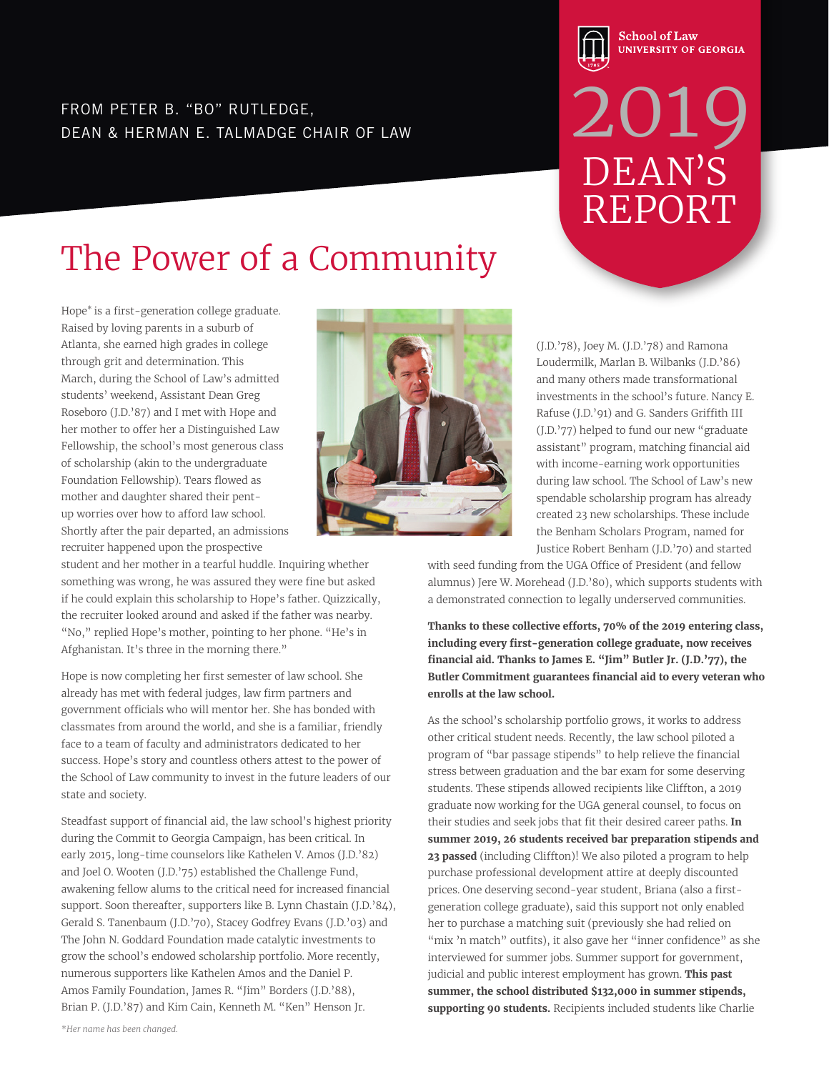#### FROM PETER B. "BO" RUTLEDGE, DEAN & HERMAN E. TALMADGE CHAIR OF LAW

# **School of Law UNIVERSITY OF GEORGIA** 2019 DEAN'S REPORT

## The Power of a Community

Hope\* is a first-generation college graduate. Raised by loving parents in a suburb of Atlanta, she earned high grades in college through grit and determination. This March, during the School of Law's admitted students' weekend, Assistant Dean Greg Roseboro (J.D.'87) and I met with Hope and her mother to offer her a Distinguished Law Fellowship, the school's most generous class of scholarship (akin to the undergraduate Foundation Fellowship). Tears flowed as mother and daughter shared their pentup worries over how to afford law school. Shortly after the pair departed, an admissions recruiter happened upon the prospective

student and her mother in a tearful huddle. Inquiring whether something was wrong, he was assured they were fine but asked if he could explain this scholarship to Hope's father. Quizzically, the recruiter looked around and asked if the father was nearby. "No," replied Hope's mother, pointing to her phone. "He's in Afghanistan. It's three in the morning there."

Hope is now completing her first semester of law school. She already has met with federal judges, law firm partners and government officials who will mentor her. She has bonded with classmates from around the world, and she is a familiar, friendly face to a team of faculty and administrators dedicated to her success. Hope's story and countless others attest to the power of the School of Law community to invest in the future leaders of our state and society.

Steadfast support of financial aid, the law school's highest priority during the Commit to Georgia Campaign, has been critical. In early 2015, long-time counselors like Kathelen V. Amos (J.D.'82) and Joel O. Wooten (J.D.'75) established the Challenge Fund, awakening fellow alums to the critical need for increased financial support. Soon thereafter, supporters like B. Lynn Chastain (J.D.'84), Gerald S. Tanenbaum (J.D.'70), Stacey Godfrey Evans (J.D.'03) and The John N. Goddard Foundation made catalytic investments to grow the school's endowed scholarship portfolio. More recently, numerous supporters like Kathelen Amos and the Daniel P. Amos Family Foundation, James R. "Jim" Borders (J.D.'88), Brian P. (J.D.'87) and Kim Cain, Kenneth M. "Ken" Henson Jr.



(J.D.'78), Joey M. (J.D.'78) and Ramona Loudermilk, Marlan B. Wilbanks (J.D.'86) and many others made transformational investments in the school's future. Nancy E. Rafuse (J.D.'91) and G. Sanders Griffith III (J.D.'77) helped to fund our new "graduate assistant" program, matching financial aid with income-earning work opportunities during law school. The School of Law's new spendable scholarship program has already created 23 new scholarships. These include the Benham Scholars Program, named for Justice Robert Benham (J.D.'70) and started

with seed funding from the UGA Office of President (and fellow alumnus) Jere W. Morehead (J.D.'80), which supports students with a demonstrated connection to legally underserved communities.

**Thanks to these collective efforts, 70% of the 2019 entering class, including every first-generation college graduate, now receives financial aid. Thanks to James E. "Jim" Butler Jr. (J.D.'77), the Butler Commitment guarantees financial aid to every veteran who enrolls at the law school.**

As the school's scholarship portfolio grows, it works to address other critical student needs. Recently, the law school piloted a program of "bar passage stipends" to help relieve the financial stress between graduation and the bar exam for some deserving students. These stipends allowed recipients like Cliffton, a 2019 graduate now working for the UGA general counsel, to focus on their studies and seek jobs that fit their desired career paths. **In summer 2019, 26 students received bar preparation stipends and 23 passed** (including Cliffton)! We also piloted a program to help purchase professional development attire at deeply discounted prices. One deserving second-year student, Briana (also a firstgeneration college graduate), said this support not only enabled her to purchase a matching suit (previously she had relied on "mix 'n match" outfits), it also gave her "inner confidence" as she interviewed for summer jobs. Summer support for government, judicial and public interest employment has grown. **This past summer, the school distributed \$132,000 in summer stipends, supporting 90 students.** Recipients included students like Charlie